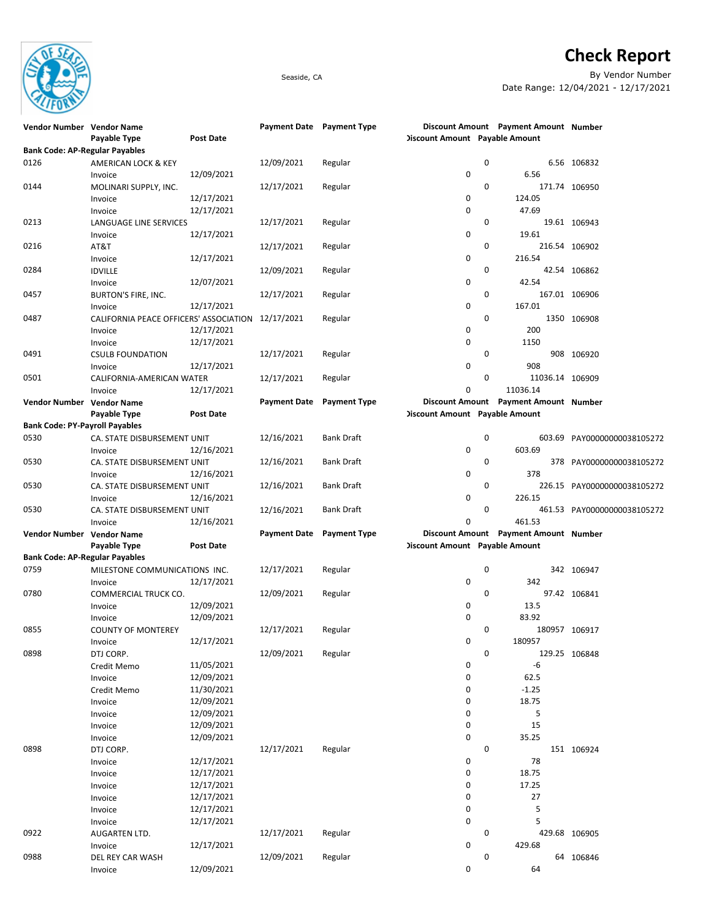

## Check Report

Seaside, CA By Vendor Number Date Range: 12/04/2021 - 12/17/2021

| Vendor Number Vendor Name             |                                        |                  | Payment Date Payment Type |                     |                                       | Discount Amount Payment Amount Number |                             |
|---------------------------------------|----------------------------------------|------------------|---------------------------|---------------------|---------------------------------------|---------------------------------------|-----------------------------|
|                                       | Payable Type                           | Post Date        |                           |                     | <b>Discount Amount Payable Amount</b> |                                       |                             |
| <b>Bank Code: AP-Regular Payables</b> |                                        |                  |                           |                     |                                       |                                       |                             |
| 0126                                  |                                        |                  | 12/09/2021                |                     | 0                                     |                                       | 6.56 106832                 |
|                                       | AMERICAN LOCK & KEY                    |                  |                           | Regular             |                                       |                                       |                             |
|                                       | Invoice                                | 12/09/2021       |                           |                     | 0                                     | 6.56                                  |                             |
| 0144                                  | MOLINARI SUPPLY, INC.                  |                  | 12/17/2021                | Regular             | 0                                     |                                       | 171.74 106950               |
|                                       | Invoice                                | 12/17/2021       |                           |                     | 0                                     | 124.05                                |                             |
|                                       | Invoice                                | 12/17/2021       |                           |                     | 0                                     | 47.69                                 |                             |
| 0213                                  | LANGUAGE LINE SERVICES                 |                  | 12/17/2021                | Regular             | 0                                     |                                       | 19.61 106943                |
|                                       | Invoice                                | 12/17/2021       |                           |                     | 0                                     | 19.61                                 |                             |
| 0216                                  | AT&T                                   |                  | 12/17/2021                | Regular             | 0                                     |                                       | 216.54 106902               |
|                                       |                                        |                  |                           |                     | 0                                     |                                       |                             |
|                                       | Invoice                                | 12/17/2021       |                           |                     |                                       | 216.54                                |                             |
| 0284                                  | <b>IDVILLE</b>                         |                  | 12/09/2021                | Regular             | 0                                     |                                       | 42.54 106862                |
|                                       | Invoice                                | 12/07/2021       |                           |                     | 0                                     | 42.54                                 |                             |
| 0457                                  | BURTON'S FIRE, INC.                    |                  | 12/17/2021                | Regular             | 0                                     |                                       | 167.01 106906               |
|                                       | Invoice                                | 12/17/2021       |                           |                     | 0                                     | 167.01                                |                             |
| 0487                                  | CALIFORNIA PEACE OFFICERS' ASSOCIATION |                  | 12/17/2021                | Regular             | 0                                     |                                       | 1350 106908                 |
|                                       | Invoice                                | 12/17/2021       |                           |                     | 0                                     | 200                                   |                             |
|                                       |                                        |                  |                           |                     | 0                                     | 1150                                  |                             |
|                                       | Invoice                                | 12/17/2021       |                           |                     |                                       |                                       |                             |
| 0491                                  | <b>CSULB FOUNDATION</b>                |                  | 12/17/2021                | Regular             | 0                                     |                                       | 908 106920                  |
|                                       | Invoice                                | 12/17/2021       |                           |                     | 0                                     | 908                                   |                             |
| 0501                                  | CALIFORNIA-AMERICAN WATER              |                  | 12/17/2021                | Regular             | 0                                     | 11036.14 106909                       |                             |
|                                       | Invoice                                | 12/17/2021       |                           |                     | 0                                     | 11036.14                              |                             |
| Vendor Number Vendor Name             |                                        |                  | <b>Payment Date</b>       | <b>Payment Type</b> |                                       | Discount Amount Payment Amount Number |                             |
|                                       | Payable Type                           | Post Date        |                           |                     | <b>Discount Amount Payable Amount</b> |                                       |                             |
|                                       |                                        |                  |                           |                     |                                       |                                       |                             |
| <b>Bank Code: PY-Payroll Payables</b> |                                        |                  |                           |                     |                                       |                                       |                             |
| 0530                                  | CA. STATE DISBURSEMENT UNIT            |                  | 12/16/2021                | <b>Bank Draft</b>   | 0                                     |                                       | 603.69 PAY00000000038105272 |
|                                       | Invoice                                | 12/16/2021       |                           |                     | 0                                     | 603.69                                |                             |
| 0530                                  | CA. STATE DISBURSEMENT UNIT            |                  | 12/16/2021                | <b>Bank Draft</b>   | 0                                     |                                       | 378 PAY00000000038105272    |
|                                       | Invoice                                | 12/16/2021       |                           |                     | 0                                     | 378                                   |                             |
| 0530                                  | CA. STATE DISBURSEMENT UNIT            |                  | 12/16/2021                | <b>Bank Draft</b>   | 0                                     |                                       | 226.15 PAY00000000038105272 |
|                                       |                                        |                  |                           |                     |                                       |                                       |                             |
|                                       | Invoice                                | 12/16/2021       |                           |                     | 0                                     | 226.15                                |                             |
| 0530                                  | CA. STATE DISBURSEMENT UNIT            |                  | 12/16/2021                | <b>Bank Draft</b>   | 0                                     |                                       | 461.53 PAY00000000038105272 |
|                                       | Invoice                                | 12/16/2021       |                           |                     | 0                                     | 461.53                                |                             |
| Vendor Number Vendor Name             |                                        |                  | <b>Payment Date</b>       | <b>Payment Type</b> |                                       | Discount Amount Payment Amount Number |                             |
|                                       | Payable Type                           | <b>Post Date</b> |                           |                     | <b>Discount Amount Payable Amount</b> |                                       |                             |
| <b>Bank Code: AP-Regular Payables</b> |                                        |                  |                           |                     |                                       |                                       |                             |
| 0759                                  | MILESTONE COMMUNICATIONS INC.          |                  | 12/17/2021                | Regular             | 0                                     |                                       | 342 106947                  |
|                                       |                                        |                  |                           |                     |                                       |                                       |                             |
|                                       | Invoice                                | 12/17/2021       |                           |                     | 0                                     | 342                                   |                             |
| 0780                                  | COMMERCIAL TRUCK CO.                   |                  | 12/09/2021                | Regular             | 0                                     |                                       | 97.42 106841                |
|                                       | Invoice                                | 12/09/2021       |                           |                     | 0                                     | 13.5                                  |                             |
|                                       | Invoice                                | 12/09/2021       |                           |                     | 0                                     | 83.92                                 |                             |
| 0855                                  | <b>COUNTY OF MONTEREY</b>              |                  | 12/17/2021                | Regular             | 0                                     |                                       | 180957 106917               |
|                                       | Invoice                                | 12/17/2021       |                           |                     | 0                                     | 180957                                |                             |
| 0898                                  |                                        |                  | 12/09/2021                | Regular             | 0                                     |                                       | 129.25 106848               |
|                                       | DTJ CORP.                              |                  |                           |                     |                                       |                                       |                             |
|                                       | Credit Memo                            | 11/05/2021       |                           |                     | 0                                     | -6                                    |                             |
|                                       | Invoice                                | 12/09/2021       |                           |                     | 0                                     | 62.5                                  |                             |
|                                       | Credit Memo                            | 11/30/2021       |                           |                     | 0                                     | $-1.25$                               |                             |
|                                       | Invoice                                | 12/09/2021       |                           |                     | 0                                     | 18.75                                 |                             |
|                                       | Invoice                                | 12/09/2021       |                           |                     | 0                                     | 5                                     |                             |
|                                       | Invoice                                | 12/09/2021       |                           |                     | 0                                     | 15                                    |                             |
|                                       |                                        | 12/09/2021       |                           |                     | 0                                     | 35.25                                 |                             |
|                                       | Invoice                                |                  |                           |                     |                                       |                                       |                             |
| 0898                                  | DTJ CORP.                              |                  | 12/17/2021                | Regular             | 0                                     |                                       | 151 106924                  |
|                                       | Invoice                                | 12/17/2021       |                           |                     | 0                                     | 78                                    |                             |
|                                       | Invoice                                | 12/17/2021       |                           |                     | 0                                     | 18.75                                 |                             |
|                                       | Invoice                                | 12/17/2021       |                           |                     | 0                                     | 17.25                                 |                             |
|                                       | Invoice                                | 12/17/2021       |                           |                     | 0                                     | 27                                    |                             |
|                                       |                                        |                  |                           |                     |                                       | 5                                     |                             |
|                                       |                                        |                  |                           |                     |                                       |                                       |                             |
|                                       | Invoice                                | 12/17/2021       |                           |                     | 0                                     |                                       |                             |
|                                       | Invoice                                | 12/17/2021       |                           |                     | 0                                     | 5                                     |                             |
| 0922                                  | AUGARTEN LTD.                          |                  | 12/17/2021                | Regular             | 0                                     |                                       | 429.68 106905               |
|                                       | Invoice                                | 12/17/2021       |                           |                     | 0                                     | 429.68                                |                             |
| 0988                                  | DEL REY CAR WASH                       |                  | 12/09/2021                | Regular             | 0                                     |                                       | 64 106846                   |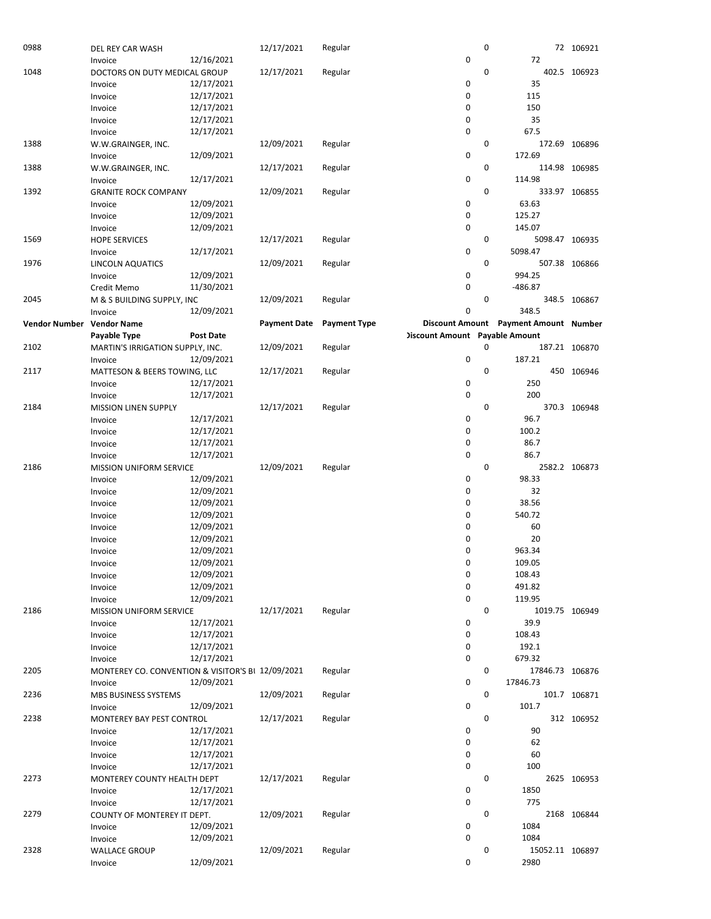| 0988                 | DEL REY CAR WASH                                  |                  | 12/17/2021          | Regular             |                                       | 0           |                                       | 72 106921     |
|----------------------|---------------------------------------------------|------------------|---------------------|---------------------|---------------------------------------|-------------|---------------------------------------|---------------|
|                      | Invoice                                           | 12/16/2021       |                     |                     | $\pmb{0}$                             |             | 72                                    |               |
| 1048                 | DOCTORS ON DUTY MEDICAL GROUP                     |                  | 12/17/2021          | Regular             |                                       | 0           |                                       | 402.5 106923  |
|                      | Invoice                                           | 12/17/2021       |                     |                     | 0                                     |             | 35                                    |               |
|                      | Invoice                                           | 12/17/2021       |                     |                     | $\mathbf 0$                           |             | 115                                   |               |
|                      | Invoice                                           | 12/17/2021       |                     |                     | 0                                     |             | 150                                   |               |
|                      | Invoice                                           | 12/17/2021       |                     |                     | $\mathbf 0$                           |             | 35                                    |               |
|                      | Invoice                                           | 12/17/2021       |                     |                     | $\mathbf 0$                           |             | 67.5                                  |               |
| 1388                 | W.W.GRAINGER, INC.                                |                  | 12/09/2021          | Regular             |                                       | 0           |                                       | 172.69 106896 |
|                      | Invoice                                           | 12/09/2021       |                     |                     | 0                                     |             | 172.69                                |               |
| 1388                 | W.W.GRAINGER, INC.                                |                  | 12/17/2021          | Regular             |                                       | 0           |                                       | 114.98 106985 |
|                      | Invoice                                           | 12/17/2021       |                     |                     | $\pmb{0}$                             |             | 114.98                                |               |
| 1392                 |                                                   |                  | 12/09/2021          | Regular             |                                       | $\mathbf 0$ |                                       | 333.97 106855 |
|                      | <b>GRANITE ROCK COMPANY</b>                       |                  |                     |                     |                                       |             |                                       |               |
|                      | Invoice                                           | 12/09/2021       |                     |                     | 0                                     |             | 63.63                                 |               |
|                      | Invoice                                           | 12/09/2021       |                     |                     | $\mathbf 0$                           |             | 125.27                                |               |
|                      | Invoice                                           | 12/09/2021       |                     |                     | $\mathbf 0$                           |             | 145.07                                |               |
| 1569                 | <b>HOPE SERVICES</b>                              |                  | 12/17/2021          | Regular             |                                       | 0           | 5098.47 106935                        |               |
|                      | Invoice                                           | 12/17/2021       |                     |                     | $\pmb{0}$                             |             | 5098.47                               |               |
| 1976                 | LINCOLN AQUATICS                                  |                  | 12/09/2021          | Regular             |                                       | $\mathbf 0$ |                                       | 507.38 106866 |
|                      | Invoice                                           | 12/09/2021       |                     |                     | $\mathbf 0$                           |             | 994.25                                |               |
|                      | Credit Memo                                       | 11/30/2021       |                     |                     | $\mathbf 0$                           |             | $-486.87$                             |               |
| 2045                 | M & S BUILDING SUPPLY, INC                        |                  | 12/09/2021          | Regular             |                                       | 0           |                                       | 348.5 106867  |
|                      | Invoice                                           | 12/09/2021       |                     |                     | 0                                     |             | 348.5                                 |               |
| <b>Vendor Number</b> | <b>Vendor Name</b>                                |                  | <b>Payment Date</b> | <b>Payment Type</b> |                                       |             | Discount Amount Payment Amount Number |               |
|                      | Payable Type                                      | <b>Post Date</b> |                     |                     | <b>Discount Amount Payable Amount</b> |             |                                       |               |
| 2102                 | MARTIN'S IRRIGATION SUPPLY, INC.                  |                  | 12/09/2021          | Regular             |                                       | 0           |                                       | 187.21 106870 |
|                      | Invoice                                           | 12/09/2021       |                     |                     | 0                                     |             | 187.21                                |               |
| 2117                 | MATTESON & BEERS TOWING, LLC                      |                  | 12/17/2021          | Regular             |                                       | 0           |                                       | 450 106946    |
|                      | Invoice                                           | 12/17/2021       |                     |                     | 0                                     |             | 250                                   |               |
|                      | Invoice                                           | 12/17/2021       |                     |                     | $\mathbf 0$                           |             | 200                                   |               |
| 2184                 | <b>MISSION LINEN SUPPLY</b>                       |                  | 12/17/2021          | Regular             |                                       | 0           |                                       | 370.3 106948  |
|                      | Invoice                                           | 12/17/2021       |                     |                     | 0                                     |             | 96.7                                  |               |
|                      | Invoice                                           | 12/17/2021       |                     |                     | $\mathbf 0$                           |             | 100.2                                 |               |
|                      |                                                   | 12/17/2021       |                     |                     | $\mathbf 0$                           |             | 86.7                                  |               |
|                      | Invoice                                           |                  |                     |                     | $\mathbf 0$                           |             | 86.7                                  |               |
|                      | Invoice                                           | 12/17/2021       |                     |                     |                                       |             |                                       |               |
| 2186                 | <b>MISSION UNIFORM SERVICE</b>                    |                  | 12/09/2021          | Regular             |                                       | 0           |                                       | 2582.2 106873 |
|                      | Invoice                                           | 12/09/2021       |                     |                     | $\mathbf 0$                           |             | 98.33                                 |               |
|                      | Invoice                                           | 12/09/2021       |                     |                     | $\mathbf 0$                           |             | 32                                    |               |
|                      | Invoice                                           | 12/09/2021       |                     |                     | 0                                     |             | 38.56                                 |               |
|                      | Invoice                                           | 12/09/2021       |                     |                     | 0                                     |             | 540.72                                |               |
|                      | Invoice                                           | 12/09/2021       |                     |                     | 0                                     |             | 60                                    |               |
|                      | Invoice                                           | 12/09/2021       |                     |                     |                                       |             |                                       |               |
|                      |                                                   |                  |                     |                     | 0                                     |             | 20                                    |               |
|                      | Invoice                                           | 12/09/2021       |                     |                     | 0                                     |             | 963.34                                |               |
|                      | Invoice                                           | 12/09/2021       |                     |                     | 0                                     |             | 109.05                                |               |
|                      | Invoice                                           | 12/09/2021       |                     |                     | 0                                     |             | 108.43                                |               |
|                      | Invoice                                           | 12/09/2021       |                     |                     | 0                                     |             | 491.82                                |               |
|                      | Invoice                                           | 12/09/2021       |                     |                     | 0                                     |             | 119.95                                |               |
| 2186                 | <b>MISSION UNIFORM SERVICE</b>                    |                  | 12/17/2021          | Regular             |                                       | 0           | 1019.75 106949                        |               |
|                      | Invoice                                           | 12/17/2021       |                     |                     | 0                                     |             | 39.9                                  |               |
|                      | Invoice                                           | 12/17/2021       |                     |                     | 0                                     |             | 108.43                                |               |
|                      | Invoice                                           | 12/17/2021       |                     |                     | 0                                     |             | 192.1                                 |               |
|                      |                                                   | 12/17/2021       |                     |                     | $\mathbf 0$                           |             | 679.32                                |               |
|                      | Invoice                                           |                  |                     |                     |                                       |             |                                       |               |
| 2205                 | MONTEREY CO. CONVENTION & VISITOR'S BI 12/09/2021 |                  |                     | Regular             |                                       | 0           | 17846.73 106876                       |               |
|                      | Invoice                                           | 12/09/2021       |                     |                     | 0                                     |             | 17846.73                              |               |
| 2236                 | MBS BUSINESS SYSTEMS                              |                  | 12/09/2021          | Regular             |                                       | 0           |                                       | 101.7 106871  |
|                      | Invoice                                           | 12/09/2021       |                     |                     | 0                                     |             | 101.7                                 |               |
| 2238                 | MONTEREY BAY PEST CONTROL                         |                  | 12/17/2021          | Regular             |                                       | 0           |                                       | 312 106952    |
|                      | Invoice                                           | 12/17/2021       |                     |                     | 0                                     |             | 90                                    |               |
|                      | Invoice                                           | 12/17/2021       |                     |                     | $\mathbf 0$                           |             | 62                                    |               |
|                      | Invoice                                           | 12/17/2021       |                     |                     | 0                                     |             | 60                                    |               |
|                      | Invoice                                           | 12/17/2021       |                     |                     | $\mathbf 0$                           |             | 100                                   |               |
| 2273                 | MONTEREY COUNTY HEALTH DEPT                       |                  | 12/17/2021          | Regular             |                                       | 0           |                                       | 2625 106953   |
|                      | Invoice                                           | 12/17/2021       |                     |                     | 0                                     |             | 1850                                  |               |
|                      | Invoice                                           | 12/17/2021       |                     |                     | $\mathbf 0$                           |             | 775                                   |               |
| 2279                 | COUNTY OF MONTEREY IT DEPT.                       |                  | 12/09/2021          | Regular             |                                       | 0           |                                       | 2168 106844   |
|                      | Invoice                                           | 12/09/2021       |                     |                     | 0                                     |             | 1084                                  |               |
|                      | Invoice                                           | 12/09/2021       |                     |                     | 0                                     |             | 1084                                  |               |
| 2328                 | <b>WALLACE GROUP</b><br>Invoice                   | 12/09/2021       | 12/09/2021          | Regular             | 0                                     | 0           | 15052.11 106897<br>2980               |               |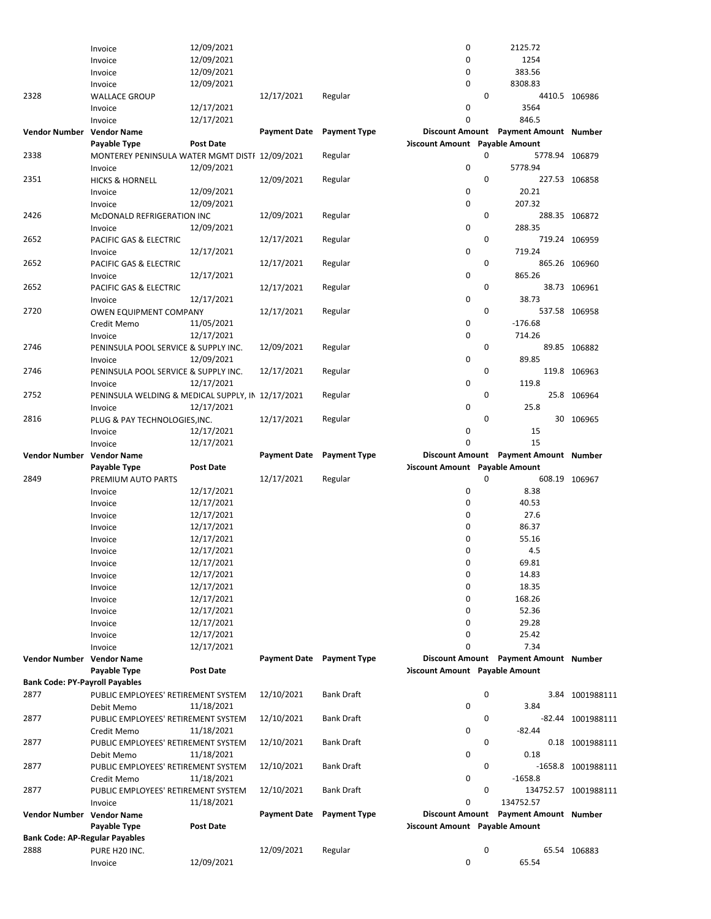|                                       | Invoice                                           | 12/09/2021       |                           |                     | 0                                     |   | 2125.72                               |                      |
|---------------------------------------|---------------------------------------------------|------------------|---------------------------|---------------------|---------------------------------------|---|---------------------------------------|----------------------|
|                                       | Invoice                                           | 12/09/2021       |                           |                     | 0                                     |   | 1254                                  |                      |
|                                       | Invoice                                           | 12/09/2021       |                           |                     | 0                                     |   | 383.56                                |                      |
|                                       |                                                   |                  |                           |                     |                                       |   |                                       |                      |
|                                       | Invoice                                           | 12/09/2021       |                           |                     | 0                                     |   | 8308.83                               |                      |
| 2328                                  | <b>WALLACE GROUP</b>                              |                  | 12/17/2021                | Regular             |                                       | 0 |                                       | 4410.5 106986        |
|                                       | Invoice                                           | 12/17/2021       |                           |                     | 0                                     |   | 3564                                  |                      |
|                                       | Invoice                                           | 12/17/2021       |                           |                     | $\mathbf 0$                           |   | 846.5                                 |                      |
|                                       |                                                   |                  |                           |                     |                                       |   |                                       |                      |
| Vendor Number Vendor Name             |                                                   |                  | <b>Payment Date</b>       | <b>Payment Type</b> |                                       |   | Discount Amount Payment Amount Number |                      |
|                                       | Payable Type                                      | <b>Post Date</b> |                           |                     | Discount Amount Payable Amount        |   |                                       |                      |
| 2338                                  | MONTEREY PENINSULA WATER MGMT DISTI 12/09/2021    |                  |                           | Regular             |                                       | 0 | 5778.94 106879                        |                      |
|                                       | Invoice                                           | 12/09/2021       |                           |                     | 0                                     |   | 5778.94                               |                      |
|                                       |                                                   |                  |                           |                     |                                       |   |                                       |                      |
| 2351                                  | <b>HICKS &amp; HORNELL</b>                        |                  | 12/09/2021                | Regular             |                                       | 0 |                                       | 227.53 106858        |
|                                       | Invoice                                           | 12/09/2021       |                           |                     | 0                                     |   | 20.21                                 |                      |
|                                       | Invoice                                           | 12/09/2021       |                           |                     | 0                                     |   | 207.32                                |                      |
| 2426                                  | McDONALD REFRIGERATION INC                        |                  | 12/09/2021                | Regular             |                                       | 0 |                                       | 288.35 106872        |
|                                       |                                                   |                  |                           |                     |                                       |   |                                       |                      |
|                                       | Invoice                                           | 12/09/2021       |                           |                     | 0                                     |   | 288.35                                |                      |
| 2652                                  | PACIFIC GAS & ELECTRIC                            |                  | 12/17/2021                | Regular             |                                       | 0 |                                       | 719.24 106959        |
|                                       | Invoice                                           | 12/17/2021       |                           |                     | 0                                     |   | 719.24                                |                      |
| 2652                                  |                                                   |                  | 12/17/2021                | Regular             |                                       | 0 |                                       | 865.26 106960        |
|                                       | PACIFIC GAS & ELECTRIC                            |                  |                           |                     |                                       |   |                                       |                      |
|                                       | Invoice                                           | 12/17/2021       |                           |                     | 0                                     |   | 865.26                                |                      |
| 2652                                  | PACIFIC GAS & ELECTRIC                            |                  | 12/17/2021                | Regular             |                                       | 0 |                                       | 38.73 106961         |
|                                       | Invoice                                           | 12/17/2021       |                           |                     | 0                                     |   | 38.73                                 |                      |
|                                       |                                                   |                  |                           |                     |                                       | 0 |                                       |                      |
| 2720                                  | <b>OWEN EQUIPMENT COMPANY</b>                     |                  | 12/17/2021                | Regular             |                                       |   |                                       | 537.58 106958        |
|                                       | Credit Memo                                       | 11/05/2021       |                           |                     | 0                                     |   | $-176.68$                             |                      |
|                                       | Invoice                                           | 12/17/2021       |                           |                     | 0                                     |   | 714.26                                |                      |
| 2746                                  | PENINSULA POOL SERVICE & SUPPLY INC.              |                  | 12/09/2021                | Regular             |                                       | 0 |                                       | 89.85 106882         |
|                                       |                                                   |                  |                           |                     |                                       |   |                                       |                      |
|                                       | Invoice                                           | 12/09/2021       |                           |                     | 0                                     |   | 89.85                                 |                      |
| 2746                                  | PENINSULA POOL SERVICE & SUPPLY INC.              |                  | 12/17/2021                | Regular             |                                       | 0 |                                       | 119.8 106963         |
|                                       | Invoice                                           | 12/17/2021       |                           |                     | 0                                     |   | 119.8                                 |                      |
| 2752                                  | PENINSULA WELDING & MEDICAL SUPPLY, IN 12/17/2021 |                  |                           |                     |                                       | 0 |                                       | 25.8 106964          |
|                                       |                                                   |                  |                           | Regular             |                                       |   |                                       |                      |
|                                       | Invoice                                           | 12/17/2021       |                           |                     | 0                                     |   | 25.8                                  |                      |
| 2816                                  | PLUG & PAY TECHNOLOGIES, INC.                     |                  | 12/17/2021                | Regular             |                                       | 0 |                                       | 30 106965            |
|                                       | Invoice                                           | 12/17/2021       |                           |                     | 0                                     |   | 15                                    |                      |
|                                       |                                                   |                  |                           |                     |                                       |   |                                       |                      |
|                                       | Invoice                                           | 12/17/2021       |                           |                     | 0                                     |   | 15                                    |                      |
|                                       |                                                   |                  |                           |                     |                                       |   |                                       |                      |
| Vendor Number Vendor Name             |                                                   |                  | Payment Date Payment Type |                     |                                       |   | Discount Amount Payment Amount Number |                      |
|                                       | Payable Type                                      | <b>Post Date</b> |                           |                     | <b>Discount Amount</b> Payable Amount |   |                                       |                      |
|                                       |                                                   |                  |                           |                     |                                       |   |                                       |                      |
| 2849                                  | PREMIUM AUTO PARTS                                |                  | 12/17/2021                | Regular             |                                       | 0 |                                       | 608.19 106967        |
|                                       | Invoice                                           | 12/17/2021       |                           |                     | 0                                     |   | 8.38                                  |                      |
|                                       | Invoice                                           | 12/17/2021       |                           |                     | 0                                     |   | 40.53                                 |                      |
|                                       |                                                   |                  |                           |                     | 0                                     |   | 27.6                                  |                      |
|                                       | Invoice                                           | 12/17/2021       |                           |                     |                                       |   |                                       |                      |
|                                       | Invoice                                           | 12/17/2021       |                           |                     | 0                                     |   | 86.37                                 |                      |
|                                       | Invoice                                           | 12/17/2021       |                           |                     | 0                                     |   | 55.16                                 |                      |
|                                       | Invoice                                           | 12/17/2021       |                           |                     | 0                                     |   | 4.5                                   |                      |
|                                       |                                                   |                  |                           |                     | 0                                     |   |                                       |                      |
|                                       | Invoice                                           | 12/17/2021       |                           |                     |                                       |   | 69.81                                 |                      |
|                                       | Invoice                                           | 12/17/2021       |                           |                     | 0                                     |   | 14.83                                 |                      |
|                                       | Invoice                                           | 12/17/2021       |                           |                     | 0                                     |   | 18.35                                 |                      |
|                                       | Invoice                                           | 12/17/2021       |                           |                     | 0                                     |   | 168.26                                |                      |
|                                       |                                                   | 12/17/2021       |                           |                     | 0                                     |   | 52.36                                 |                      |
|                                       | Invoice                                           |                  |                           |                     |                                       |   |                                       |                      |
|                                       | Invoice                                           | 12/17/2021       |                           |                     | 0                                     |   | 29.28                                 |                      |
|                                       | Invoice                                           | 12/17/2021       |                           |                     | 0                                     |   | 25.42                                 |                      |
|                                       | Invoice                                           | 12/17/2021       |                           |                     | 0                                     |   | 7.34                                  |                      |
| Vendor Number Vendor Name             |                                                   |                  | Payment Date Payment Type |                     |                                       |   | Discount Amount Payment Amount Number |                      |
|                                       |                                                   |                  |                           |                     |                                       |   |                                       |                      |
|                                       | Payable Type                                      | <b>Post Date</b> |                           |                     | <b>Discount Amount</b> Payable Amount |   |                                       |                      |
| <b>Bank Code: PY-Payroll Payables</b> |                                                   |                  |                           |                     |                                       |   |                                       |                      |
| 2877                                  | PUBLIC EMPLOYEES' RETIREMENT SYSTEM               |                  | 12/10/2021                | <b>Bank Draft</b>   |                                       | 0 |                                       | 3.84 1001988111      |
|                                       | Debit Memo                                        | 11/18/2021       |                           |                     | 0                                     |   | 3.84                                  |                      |
|                                       |                                                   |                  |                           |                     |                                       |   |                                       |                      |
| 2877                                  | PUBLIC EMPLOYEES' RETIREMENT SYSTEM               |                  | 12/10/2021                | <b>Bank Draft</b>   |                                       | 0 |                                       | -82.44 1001988111    |
|                                       | Credit Memo                                       | 11/18/2021       |                           |                     | 0                                     |   | $-82.44$                              |                      |
| 2877                                  | PUBLIC EMPLOYEES' RETIREMENT SYSTEM               |                  | 12/10/2021                | Bank Draft          |                                       | 0 |                                       | 0.18 1001988111      |
|                                       | Debit Memo                                        | 11/18/2021       |                           |                     | 0                                     |   | 0.18                                  |                      |
|                                       |                                                   |                  |                           |                     |                                       |   |                                       |                      |
| 2877                                  | PUBLIC EMPLOYEES' RETIREMENT SYSTEM               |                  | 12/10/2021                | <b>Bank Draft</b>   |                                       | 0 |                                       | -1658.8 1001988111   |
|                                       | Credit Memo                                       | 11/18/2021       |                           |                     | 0                                     |   | $-1658.8$                             |                      |
| 2877                                  | PUBLIC EMPLOYEES' RETIREMENT SYSTEM               |                  | 12/10/2021                | <b>Bank Draft</b>   |                                       | 0 |                                       | 134752.57 1001988111 |
|                                       |                                                   |                  |                           |                     | 0                                     |   | 134752.57                             |                      |
|                                       | Invoice                                           | 11/18/2021       |                           |                     |                                       |   |                                       |                      |
| Vendor Number Vendor Name             |                                                   |                  | Payment Date Payment Type |                     |                                       |   | Discount Amount Payment Amount Number |                      |
|                                       | Payable Type                                      | <b>Post Date</b> |                           |                     | <b>Discount Amount</b> Payable Amount |   |                                       |                      |
| <b>Bank Code: AP-Regular Payables</b> |                                                   |                  |                           |                     |                                       |   |                                       |                      |
| 2888                                  |                                                   |                  |                           |                     |                                       | 0 |                                       |                      |
|                                       | PURE H20 INC.<br>Invoice                          | 12/09/2021       | 12/09/2021                | Regular             | 0                                     |   | 65.54                                 | 65.54 106883         |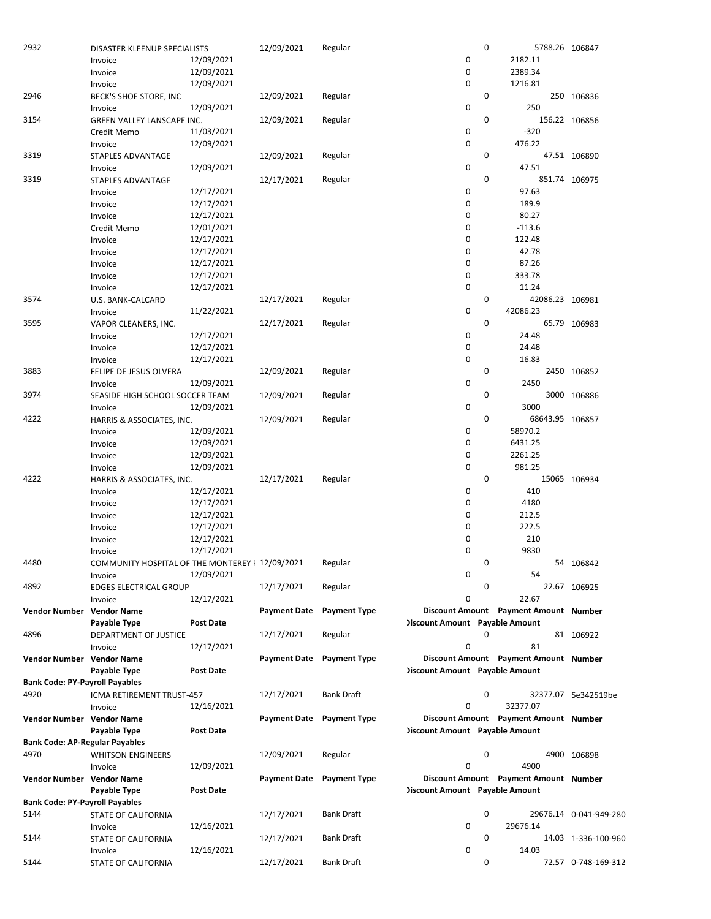| 2932                                          | DISASTER KLEENUP SPECIALISTS                    |                  | 12/09/2021                | Regular             |                                       | 0 |          | 5788.26 106847         |
|-----------------------------------------------|-------------------------------------------------|------------------|---------------------------|---------------------|---------------------------------------|---|----------|------------------------|
|                                               | Invoice                                         | 12/09/2021       |                           |                     | 0                                     |   | 2182.11  |                        |
|                                               | Invoice                                         | 12/09/2021       |                           |                     | 0                                     |   | 2389.34  |                        |
|                                               | Invoice                                         | 12/09/2021       |                           |                     | 0                                     |   | 1216.81  |                        |
| 2946                                          | BECK'S SHOE STORE, INC                          |                  | 12/09/2021                | Regular             |                                       | 0 |          | 250 106836             |
|                                               | Invoice                                         | 12/09/2021       |                           |                     | 0                                     |   | 250      |                        |
| 3154                                          | GREEN VALLEY LANSCAPE INC.                      |                  | 12/09/2021                | Regular             |                                       | 0 |          | 156.22 106856          |
|                                               | Credit Memo                                     | 11/03/2021       |                           |                     | 0                                     |   | $-320$   |                        |
|                                               | Invoice                                         | 12/09/2021       |                           |                     | $\mathbf 0$                           |   | 476.22   |                        |
| 3319                                          | STAPLES ADVANTAGE                               |                  | 12/09/2021                | Regular             |                                       | 0 |          | 47.51 106890           |
|                                               | Invoice                                         | 12/09/2021       |                           |                     | 0                                     |   | 47.51    |                        |
| 3319                                          | STAPLES ADVANTAGE                               |                  | 12/17/2021                | Regular             |                                       | 0 |          | 851.74 106975          |
|                                               | Invoice                                         | 12/17/2021       |                           |                     | 0                                     |   | 97.63    |                        |
|                                               | Invoice                                         | 12/17/2021       |                           |                     | 0                                     |   | 189.9    |                        |
|                                               | Invoice                                         | 12/17/2021       |                           |                     | 0                                     |   | 80.27    |                        |
|                                               | Credit Memo                                     | 12/01/2021       |                           |                     | 0                                     |   | $-113.6$ |                        |
|                                               | Invoice                                         | 12/17/2021       |                           |                     | 0                                     |   | 122.48   |                        |
|                                               | Invoice                                         | 12/17/2021       |                           |                     | 0                                     |   | 42.78    |                        |
|                                               | Invoice                                         | 12/17/2021       |                           |                     | 0                                     |   | 87.26    |                        |
|                                               | Invoice                                         | 12/17/2021       |                           |                     | 0                                     |   | 333.78   |                        |
|                                               |                                                 | 12/17/2021       |                           |                     | 0                                     |   | 11.24    |                        |
| 3574                                          | Invoice                                         |                  | 12/17/2021                | Regular             |                                       | 0 |          | 42086.23 106981        |
|                                               | U.S. BANK-CALCARD                               | 11/22/2021       |                           |                     | 0                                     |   | 42086.23 |                        |
|                                               | Invoice                                         |                  |                           |                     |                                       | 0 |          |                        |
| 3595                                          | VAPOR CLEANERS, INC.                            |                  | 12/17/2021                | Regular             |                                       |   |          | 65.79 106983           |
|                                               | Invoice                                         | 12/17/2021       |                           |                     | 0                                     |   | 24.48    |                        |
|                                               | Invoice                                         | 12/17/2021       |                           |                     | 0                                     |   | 24.48    |                        |
|                                               | Invoice                                         | 12/17/2021       |                           |                     | 0                                     |   | 16.83    |                        |
| 3883                                          | FELIPE DE JESUS OLVERA                          |                  | 12/09/2021                | Regular             |                                       | 0 |          | 2450 106852            |
|                                               | Invoice                                         | 12/09/2021       |                           |                     | 0                                     |   | 2450     |                        |
| 3974                                          | SEASIDE HIGH SCHOOL SOCCER TEAM                 |                  | 12/09/2021                | Regular             |                                       | 0 |          | 3000 106886            |
|                                               | Invoice                                         | 12/09/2021       |                           |                     | 0                                     |   | 3000     |                        |
| 4222                                          | HARRIS & ASSOCIATES, INC.                       |                  | 12/09/2021                | Regular             |                                       | 0 |          | 68643.95 106857        |
|                                               | Invoice                                         | 12/09/2021       |                           |                     | 0                                     |   | 58970.2  |                        |
|                                               | Invoice                                         | 12/09/2021       |                           |                     | 0                                     |   | 6431.25  |                        |
|                                               | Invoice                                         | 12/09/2021       |                           |                     | 0                                     |   | 2261.25  |                        |
|                                               | Invoice                                         | 12/09/2021       |                           |                     | 0                                     |   | 981.25   |                        |
| 4222                                          | HARRIS & ASSOCIATES, INC.                       |                  | 12/17/2021                | Regular             |                                       | 0 |          | 15065 106934           |
|                                               | Invoice                                         | 12/17/2021       |                           |                     | 0                                     |   | 410      |                        |
|                                               | Invoice                                         | 12/17/2021       |                           |                     | 0                                     |   | 4180     |                        |
|                                               | Invoice                                         | 12/17/2021       |                           |                     | 0                                     |   | 212.5    |                        |
|                                               | Invoice                                         | 12/17/2021       |                           |                     | 0                                     |   | 222.5    |                        |
|                                               | Invoice                                         | 12/17/2021       |                           |                     | 0                                     |   | 210      |                        |
|                                               | Invoice                                         | 12/17/2021       |                           |                     | 0                                     |   | 9830     |                        |
| 4480                                          | COMMUNITY HOSPITAL OF THE MONTEREY I 12/09/2021 |                  |                           | Regular             |                                       | 0 |          | 54 106842              |
|                                               | Invoice                                         | 12/09/2021       |                           |                     | 0                                     |   | 54       |                        |
| 4892                                          | <b>EDGES ELECTRICAL GROUP</b>                   |                  | 12/17/2021                | Regular             |                                       | 0 |          | 22.67 106925           |
|                                               | Invoice                                         | 12/17/2021       |                           |                     | 0                                     |   | 22.67    |                        |
| Vendor Number Vendor Name                     |                                                 |                  | <b>Payment Date</b>       | <b>Payment Type</b> | Discount Amount Payment Amount Number |   |          |                        |
|                                               | Payable Type                                    | <b>Post Date</b> |                           |                     | <b>Discount Amount Payable Amount</b> |   |          |                        |
| 4896                                          | DEPARTMENT OF JUSTICE                           |                  | 12/17/2021                | Regular             |                                       | 0 |          | 81 106922              |
|                                               | Invoice                                         | 12/17/2021       |                           |                     | 0                                     |   | 81       |                        |
| Vendor Number Vendor Name                     |                                                 |                  | <b>Payment Date</b>       | <b>Payment Type</b> | Discount Amount Payment Amount Number |   |          |                        |
|                                               | Payable Type                                    | <b>Post Date</b> |                           |                     | <b>Discount Amount</b> Payable Amount |   |          |                        |
| <b>Bank Code: PY-Payroll Payables</b>         |                                                 |                  |                           |                     |                                       |   |          |                        |
| 4920                                          | ICMA RETIREMENT TRUST-457                       |                  | 12/17/2021                | <b>Bank Draft</b>   |                                       | 0 |          | 32377.07 5e342519be    |
|                                               | Invoice                                         | 12/16/2021       |                           |                     | 0                                     |   | 32377.07 |                        |
| Vendor Number Vendor Name                     |                                                 |                  | Payment Date Payment Type |                     | Discount Amount Payment Amount Number |   |          |                        |
|                                               | Payable Type                                    | Post Date        |                           |                     | <b>Discount Amount</b> Payable Amount |   |          |                        |
| <b>Bank Code: AP-Regular Payables</b>         |                                                 |                  |                           |                     |                                       |   |          |                        |
| 4970                                          | <b>WHITSON ENGINEERS</b>                        |                  | 12/09/2021                | Regular             |                                       | 0 |          | 4900 106898            |
|                                               | Invoice                                         | 12/09/2021       |                           |                     | 0                                     |   | 4900     |                        |
| Vendor Number Vendor Name                     |                                                 |                  | <b>Payment Date</b>       | <b>Payment Type</b> | Discount Amount Payment Amount Number |   |          |                        |
|                                               |                                                 |                  |                           |                     | <b>Discount Amount Payable Amount</b> |   |          |                        |
|                                               | Payable Type                                    | <b>Post Date</b> |                           |                     |                                       |   |          |                        |
| <b>Bank Code: PY-Payroll Payables</b><br>5144 |                                                 |                  |                           | <b>Bank Draft</b>   |                                       | 0 |          |                        |
|                                               | STATE OF CALIFORNIA                             |                  | 12/17/2021                |                     | 0                                     |   | 29676.14 | 29676.14 0-041-949-280 |
| 5144                                          | Invoice                                         | 12/16/2021       | 12/17/2021                | Bank Draft          |                                       | 0 |          |                        |
|                                               | STATE OF CALIFORNIA                             | 12/16/2021       |                           |                     | 0                                     |   | 14.03    | 14.03 1-336-100-960    |
| 5144                                          | Invoice                                         |                  | 12/17/2021                | <b>Bank Draft</b>   |                                       | 0 |          |                        |
|                                               | STATE OF CALIFORNIA                             |                  |                           |                     |                                       |   |          | 72.57 0-748-169-312    |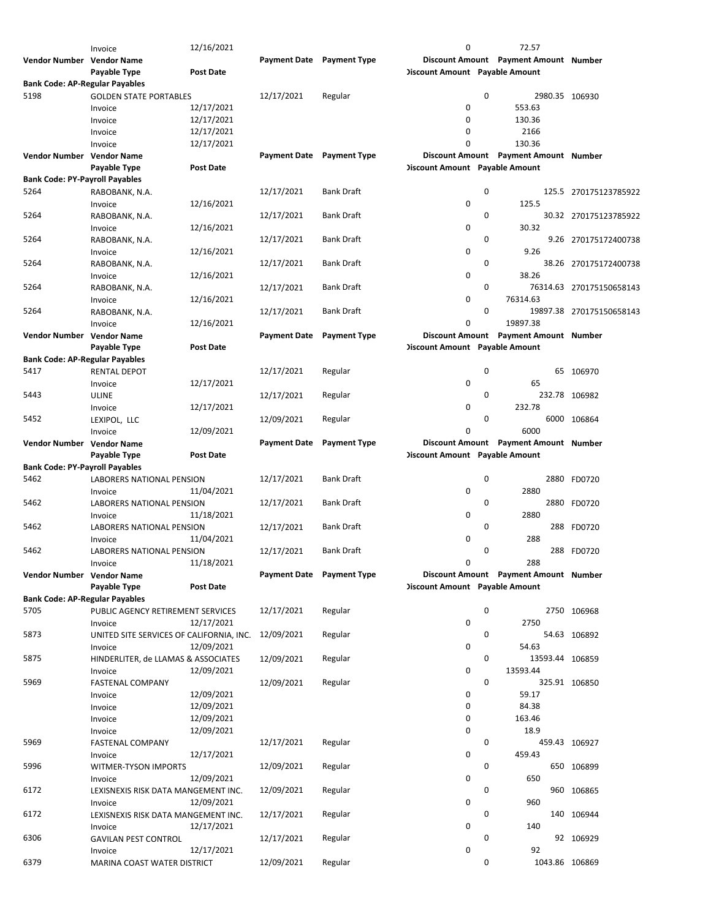|                                       | Invoice                                  | 12/16/2021       |                                  |                     | 0                                     | 72.57                                 |                          |
|---------------------------------------|------------------------------------------|------------------|----------------------------------|---------------------|---------------------------------------|---------------------------------------|--------------------------|
| Vendor Number Vendor Name             |                                          |                  | <b>Payment Date Payment Type</b> |                     |                                       | Discount Amount Payment Amount Number |                          |
|                                       | Payable Type                             | Post Date        |                                  |                     | <b>Discount Amount</b> Payable Amount |                                       |                          |
| <b>Bank Code: AP-Regular Payables</b> |                                          |                  |                                  |                     |                                       |                                       |                          |
| 5198                                  | <b>GOLDEN STATE PORTABLES</b>            |                  | 12/17/2021                       | Regular             |                                       | 0                                     | 2980.35 106930           |
|                                       | Invoice                                  | 12/17/2021       |                                  |                     | $\mathbf 0$                           | 553.63                                |                          |
|                                       |                                          | 12/17/2021       |                                  |                     | 0                                     | 130.36                                |                          |
|                                       | Invoice                                  |                  |                                  |                     | 0                                     | 2166                                  |                          |
|                                       | Invoice                                  | 12/17/2021       |                                  |                     |                                       |                                       |                          |
|                                       | Invoice                                  | 12/17/2021       |                                  |                     | 0                                     | 130.36                                |                          |
| Vendor Number Vendor Name             |                                          |                  | Payment Date Payment Type        |                     |                                       | Discount Amount Payment Amount Number |                          |
|                                       | Payable Type                             | Post Date        |                                  |                     | <b>Discount Amount</b> Payable Amount |                                       |                          |
| <b>Bank Code: PY-Payroll Payables</b> |                                          |                  |                                  |                     |                                       |                                       |                          |
| 5264                                  | RABOBANK, N.A.                           |                  | 12/17/2021                       | Bank Draft          |                                       | 0                                     | 125.5 270175123785922    |
|                                       | Invoice                                  | 12/16/2021       |                                  |                     | 0                                     | 125.5                                 |                          |
| 5264                                  | RABOBANK, N.A.                           |                  | 12/17/2021                       | Bank Draft          |                                       | 0                                     | 30.32 270175123785922    |
|                                       | Invoice                                  | 12/16/2021       |                                  |                     | 0                                     | 30.32                                 |                          |
| 5264                                  | RABOBANK, N.A.                           |                  | 12/17/2021                       | Bank Draft          |                                       | 0                                     | 9.26 270175172400738     |
|                                       |                                          | 12/16/2021       |                                  |                     | 0                                     | 9.26                                  |                          |
|                                       | Invoice                                  |                  |                                  |                     |                                       |                                       |                          |
| 5264                                  | RABOBANK, N.A.                           |                  | 12/17/2021                       | Bank Draft          |                                       | 0                                     | 38.26 270175172400738    |
|                                       | Invoice                                  | 12/16/2021       |                                  |                     | $\mathbf 0$                           | 38.26                                 |                          |
| 5264                                  | RABOBANK, N.A.                           |                  | 12/17/2021                       | <b>Bank Draft</b>   |                                       | 0                                     | 76314.63 270175150658143 |
|                                       | Invoice                                  | 12/16/2021       |                                  |                     | 0                                     | 76314.63                              |                          |
| 5264                                  | RABOBANK, N.A.                           |                  | 12/17/2021                       | <b>Bank Draft</b>   |                                       | 0                                     | 19897.38 270175150658143 |
|                                       | Invoice                                  | 12/16/2021       |                                  |                     | 0                                     | 19897.38                              |                          |
| Vendor Number Vendor Name             |                                          |                  | <b>Payment Date</b>              | <b>Payment Type</b> |                                       | Discount Amount Payment Amount Number |                          |
|                                       | Payable Type                             | <b>Post Date</b> |                                  |                     | <b>Discount Amount Payable Amount</b> |                                       |                          |
| <b>Bank Code: AP-Regular Payables</b> |                                          |                  |                                  |                     |                                       |                                       |                          |
| 5417                                  | <b>RENTAL DEPOT</b>                      |                  | 12/17/2021                       | Regular             |                                       | 0                                     | 65 106970                |
|                                       | Invoice                                  | 12/17/2021       |                                  |                     | $\mathbf 0$                           | 65                                    |                          |
|                                       |                                          |                  |                                  |                     |                                       | 0                                     |                          |
| 5443                                  | <b>ULINE</b>                             |                  | 12/17/2021                       | Regular             |                                       |                                       | 232.78 106982            |
|                                       | Invoice                                  | 12/17/2021       |                                  |                     | 0                                     | 232.78                                |                          |
| 5452                                  | LEXIPOL, LLC                             |                  | 12/09/2021                       | Regular             |                                       | 0                                     | 6000 106864              |
|                                       | Invoice                                  | 12/09/2021       |                                  |                     | 0                                     | 6000                                  |                          |
| Vendor Number Vendor Name             |                                          |                  | Payment Date Payment Type        |                     |                                       | Discount Amount Payment Amount Number |                          |
|                                       | Payable Type                             | <b>Post Date</b> |                                  |                     | <b>Discount Amount</b> Payable Amount |                                       |                          |
| <b>Bank Code: PY-Payroll Payables</b> |                                          |                  |                                  |                     |                                       |                                       |                          |
| 5462                                  | LABORERS NATIONAL PENSION                |                  | 12/17/2021                       | <b>Bank Draft</b>   |                                       | 0                                     | 2880 FD0720              |
|                                       | Invoice                                  | 11/04/2021       |                                  |                     | $\mathbf 0$                           | 2880                                  |                          |
| 5462                                  | LABORERS NATIONAL PENSION                |                  | 12/17/2021                       | <b>Bank Draft</b>   |                                       | 0                                     | 2880 FD0720              |
|                                       |                                          | 11/18/2021       |                                  |                     | 0                                     | 2880                                  |                          |
|                                       | Invoice                                  |                  |                                  |                     |                                       |                                       |                          |
| 5462                                  | <b>LABORERS NATIONAL PENSION</b>         |                  | 12/17/2021                       | <b>Bank Draft</b>   |                                       | 0                                     | 288 FD0720               |
|                                       | Invoice                                  | 11/04/2021       |                                  |                     | 0                                     | 288                                   |                          |
| 5462                                  | <b>LABORERS NATIONAL PENSION</b>         |                  | 12/17/2021                       | <b>Bank Draft</b>   |                                       | 0                                     | 288 FD0720               |
|                                       | Invoice                                  | 11/18/2021       |                                  |                     | 0                                     | 288                                   |                          |
| Vendor Number Vendor Name             |                                          |                  | Payment Date Payment Type        |                     |                                       | Discount Amount Payment Amount Number |                          |
|                                       | Payable Type                             | <b>Post Date</b> |                                  |                     | <b>Discount Amount</b> Payable Amount |                                       |                          |
| <b>Bank Code: AP-Regular Payables</b> |                                          |                  |                                  |                     |                                       |                                       |                          |
| 5705                                  | PUBLIC AGENCY RETIREMENT SERVICES        |                  | 12/17/2021                       | Regular             |                                       | 0                                     | 2750 106968              |
|                                       | Invoice                                  | 12/17/2021       |                                  |                     | 0                                     | 2750                                  |                          |
| 5873                                  | UNITED SITE SERVICES OF CALIFORNIA, INC. |                  | 12/09/2021                       | Regular             |                                       | 0                                     | 54.63 106892             |
|                                       | Invoice                                  | 12/09/2021       |                                  |                     | 0                                     | 54.63                                 |                          |
| 5875                                  |                                          |                  | 12/09/2021                       | Regular             |                                       | 0                                     |                          |
|                                       | HINDERLITER, de LLAMAS & ASSOCIATES      |                  |                                  |                     |                                       | 13593.44 106859                       |                          |
|                                       | Invoice                                  | 12/09/2021       |                                  |                     | 0                                     | 13593.44                              |                          |
| 5969                                  | <b>FASTENAL COMPANY</b>                  |                  | 12/09/2021                       | Regular             |                                       | 0                                     | 325.91 106850            |
|                                       | Invoice                                  | 12/09/2021       |                                  |                     | 0                                     | 59.17                                 |                          |
|                                       | Invoice                                  | 12/09/2021       |                                  |                     | 0                                     | 84.38                                 |                          |
|                                       | Invoice                                  | 12/09/2021       |                                  |                     | 0                                     | 163.46                                |                          |
|                                       | Invoice                                  | 12/09/2021       |                                  |                     | 0                                     | 18.9                                  |                          |
| 5969                                  | FASTENAL COMPANY                         |                  | 12/17/2021                       | Regular             |                                       | 0                                     | 459.43 106927            |
|                                       | Invoice                                  | 12/17/2021       |                                  |                     | 0                                     | 459.43                                |                          |
| 5996                                  | WITMER-TYSON IMPORTS                     |                  | 12/09/2021                       | Regular             |                                       | 0                                     | 650 106899               |
|                                       | Invoice                                  | 12/09/2021       |                                  |                     | 0                                     | 650                                   |                          |
| 6172                                  |                                          |                  | 12/09/2021                       | Regular             |                                       | 0                                     | 960 106865               |
|                                       | LEXISNEXIS RISK DATA MANGEMENT INC.      |                  |                                  |                     |                                       |                                       |                          |
|                                       | Invoice                                  | 12/09/2021       |                                  |                     | 0                                     | 960                                   |                          |
| 6172                                  | LEXISNEXIS RISK DATA MANGEMENT INC.      |                  | 12/17/2021                       | Regular             |                                       | 0                                     | 140 106944               |
|                                       | Invoice                                  | 12/17/2021       |                                  |                     | 0                                     | 140                                   |                          |
| 6306                                  | <b>GAVILAN PEST CONTROL</b>              |                  | 12/17/2021                       | Regular             |                                       | 0                                     | 92 106929                |
|                                       | Invoice                                  | 12/17/2021       |                                  |                     | 0                                     | 92                                    |                          |
| 6379                                  | MARINA COAST WATER DISTRICT              |                  | 12/09/2021                       | Regular             |                                       | 0                                     | 1043.86 106869           |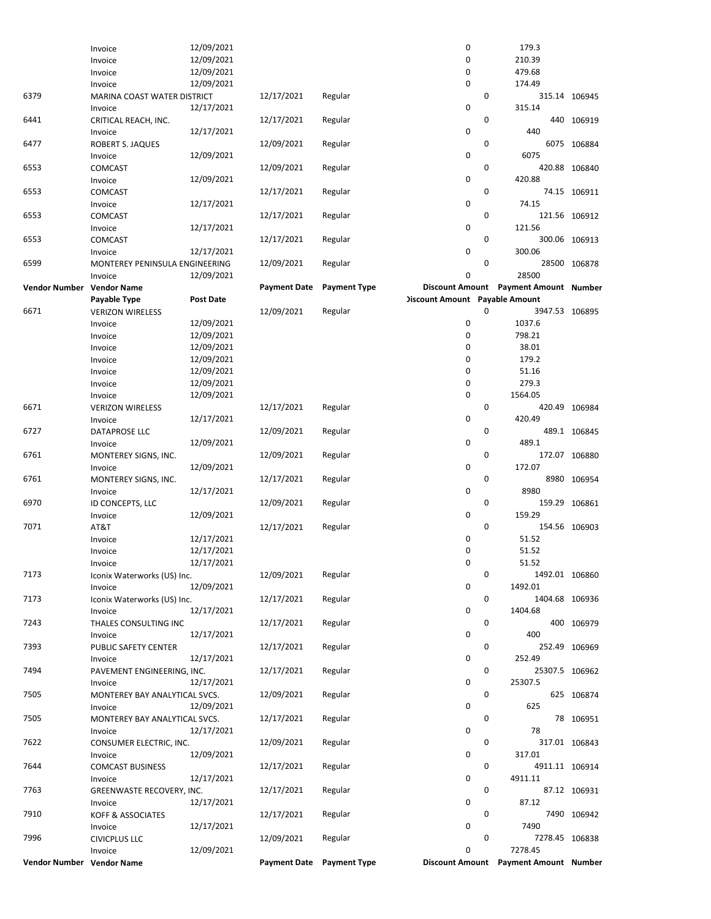|                           | Invoice                        | 12/09/2021       |                     |                           | 0                                     | 179.3                                 |                |
|---------------------------|--------------------------------|------------------|---------------------|---------------------------|---------------------------------------|---------------------------------------|----------------|
|                           | Invoice                        | 12/09/2021       |                     |                           | 0                                     | 210.39                                |                |
|                           | Invoice                        | 12/09/2021       |                     |                           | 0                                     | 479.68                                |                |
|                           | Invoice                        | 12/09/2021       |                     |                           | 0                                     | 174.49                                |                |
| 6379                      | MARINA COAST WATER DISTRICT    |                  | 12/17/2021          | Regular                   |                                       | $\mathbf 0$                           | 315.14 106945  |
|                           | Invoice                        | 12/17/2021       |                     |                           | 0                                     | 315.14                                |                |
| 6441                      | CRITICAL REACH, INC.           |                  | 12/17/2021          | Regular                   |                                       | 0                                     | 440 106919     |
|                           | Invoice                        | 12/17/2021       |                     |                           | 0                                     | 440                                   |                |
| 6477                      | ROBERT S. JAQUES               |                  | 12/09/2021          | Regular                   |                                       | $\mathbf 0$                           | 6075 106884    |
|                           | Invoice                        | 12/09/2021       |                     |                           | 0                                     | 6075                                  |                |
| 6553                      | COMCAST                        |                  | 12/09/2021          | Regular                   |                                       | $\mathbf 0$                           | 420.88 106840  |
|                           | Invoice                        | 12/09/2021       |                     |                           | 0                                     | 420.88                                |                |
| 6553                      | COMCAST                        |                  | 12/17/2021          | Regular                   |                                       | $\mathbf 0$                           | 74.15 106911   |
|                           | Invoice                        | 12/17/2021       |                     |                           | 0                                     | 74.15                                 |                |
| 6553                      | <b>COMCAST</b>                 |                  | 12/17/2021          | Regular                   |                                       | $\mathbf 0$                           | 121.56 106912  |
|                           | Invoice                        | 12/17/2021       |                     |                           | 0                                     | 121.56                                |                |
| 6553                      | COMCAST                        |                  | 12/17/2021          | Regular                   |                                       | 0                                     | 300.06 106913  |
|                           | Invoice                        | 12/17/2021       |                     |                           | 0                                     | 300.06                                |                |
| 6599                      | MONTEREY PENINSULA ENGINEERING |                  | 12/09/2021          | Regular                   |                                       | $\mathbf 0$                           | 28500 106878   |
|                           | Invoice                        | 12/09/2021       |                     |                           | 0                                     | 28500                                 |                |
| Vendor Number Vendor Name |                                |                  | <b>Payment Date</b> | <b>Payment Type</b>       |                                       | Discount Amount Payment Amount Number |                |
|                           | Payable Type                   | <b>Post Date</b> |                     |                           | <b>Discount Amount Payable Amount</b> |                                       |                |
| 6671                      | <b>VERIZON WIRELESS</b>        |                  | 12/09/2021          | Regular                   |                                       | $\mathbf 0$<br>3947.53 106895         |                |
|                           | Invoice                        | 12/09/2021       |                     |                           | 0                                     | 1037.6                                |                |
|                           | Invoice                        | 12/09/2021       |                     |                           | 0                                     | 798.21                                |                |
|                           | Invoice                        | 12/09/2021       |                     |                           | 0                                     | 38.01                                 |                |
|                           | Invoice                        | 12/09/2021       |                     |                           | 0                                     | 179.2                                 |                |
|                           | Invoice                        | 12/09/2021       |                     |                           | 0                                     | 51.16                                 |                |
|                           | Invoice                        | 12/09/2021       |                     |                           | 0                                     | 279.3                                 |                |
|                           | Invoice                        | 12/09/2021       |                     |                           | 0                                     | 1564.05                               |                |
| 6671                      | <b>VERIZON WIRELESS</b>        |                  | 12/17/2021          | Regular                   |                                       | $\mathbf 0$                           | 420.49 106984  |
|                           | Invoice                        | 12/17/2021       |                     |                           | 0                                     | 420.49                                |                |
| 6727                      | DATAPROSE LLC                  |                  | 12/09/2021          | Regular                   |                                       | 0                                     | 489.1 106845   |
|                           | Invoice                        | 12/09/2021       |                     |                           | 0                                     | 489.1                                 |                |
| 6761                      | MONTEREY SIGNS, INC.           |                  | 12/09/2021          | Regular                   |                                       | 0                                     | 172.07 106880  |
|                           | Invoice                        | 12/09/2021       |                     |                           | 0                                     | 172.07                                |                |
| 6761                      | MONTEREY SIGNS, INC.           |                  | 12/17/2021          | Regular                   |                                       | 0                                     | 8980 106954    |
|                           | Invoice                        | 12/17/2021       |                     |                           | 0                                     | 8980                                  |                |
| 6970                      | ID CONCEPTS, LLC               |                  | 12/09/2021          | Regular                   |                                       | 0                                     | 159.29 106861  |
|                           | Invoice                        | 12/09/2021       |                     |                           | 0                                     | 159.29                                |                |
| 7071                      | AT&T                           |                  | 12/17/2021          | Regular                   |                                       | 0                                     | 154.56 106903  |
|                           | Invoice                        | 12/17/2021       |                     |                           | 0                                     | 51.52                                 |                |
|                           | Invoice                        | 12/17/2021       |                     |                           | 0                                     | 51.52                                 |                |
|                           | Invoice                        | 12/17/2021       |                     |                           | 0                                     | 51.52                                 |                |
| 7173                      | Iconix Waterworks (US) Inc.    |                  | 12/09/2021          | Regular                   |                                       | 0                                     | 1492.01 106860 |
|                           | Invoice                        | 12/09/2021       |                     |                           | 0                                     | 1492.01                               |                |
| 7173                      | Iconix Waterworks (US) Inc.    |                  | 12/17/2021          | Regular                   |                                       | 0                                     | 1404.68 106936 |
|                           | Invoice                        | 12/17/2021       |                     |                           | 0                                     | 1404.68                               |                |
| 7243                      | THALES CONSULTING INC          |                  | 12/17/2021          | Regular                   |                                       | 0                                     | 400 106979     |
|                           | Invoice                        | 12/17/2021       |                     |                           | 0                                     | 400                                   |                |
| 7393                      | PUBLIC SAFETY CENTER           |                  | 12/17/2021          | Regular                   |                                       | 0                                     | 252.49 106969  |
|                           | Invoice                        | 12/17/2021       |                     |                           | 0                                     | 252.49                                |                |
| 7494                      | PAVEMENT ENGINEERING, INC.     |                  | 12/17/2021          | Regular                   |                                       | 0                                     | 25307.5 106962 |
|                           | Invoice                        | 12/17/2021       |                     |                           | 0                                     | 25307.5                               |                |
| 7505                      | MONTEREY BAY ANALYTICAL SVCS.  |                  | 12/09/2021          | Regular                   |                                       | 0                                     | 625 106874     |
|                           | Invoice                        | 12/09/2021       |                     |                           | 0                                     | 625                                   |                |
| 7505                      | MONTEREY BAY ANALYTICAL SVCS.  |                  | 12/17/2021          | Regular                   |                                       | 0                                     | 78 106951      |
|                           | Invoice                        | 12/17/2021       |                     |                           | 0                                     | 78                                    |                |
| 7622                      | CONSUMER ELECTRIC, INC.        |                  | 12/09/2021          | Regular                   |                                       | 0                                     | 317.01 106843  |
|                           | Invoice                        | 12/09/2021       |                     |                           | 0                                     | 317.01                                |                |
| 7644                      | <b>COMCAST BUSINESS</b>        |                  | 12/17/2021          | Regular                   |                                       | 0                                     | 4911.11 106914 |
|                           | Invoice                        | 12/17/2021       |                     |                           | 0                                     | 4911.11                               |                |
| 7763                      | GREENWASTE RECOVERY, INC.      |                  | 12/17/2021          | Regular                   |                                       | 0                                     | 87.12 106931   |
|                           | Invoice                        | 12/17/2021       |                     |                           | 0                                     | 87.12                                 |                |
| 7910                      | KOFF & ASSOCIATES              |                  | 12/17/2021          | Regular                   |                                       | 0                                     | 7490 106942    |
|                           | Invoice                        | 12/17/2021       |                     |                           | 0                                     | 7490                                  |                |
| 7996                      | <b>CIVICPLUS LLC</b>           |                  | 12/09/2021          | Regular                   |                                       | 0                                     | 7278.45 106838 |
|                           | Invoice                        | 12/09/2021       |                     |                           | 0                                     | 7278.45                               |                |
| Vendor Number Vendor Name |                                |                  |                     | Payment Date Payment Type |                                       | Discount Amount Payment Amount Number |                |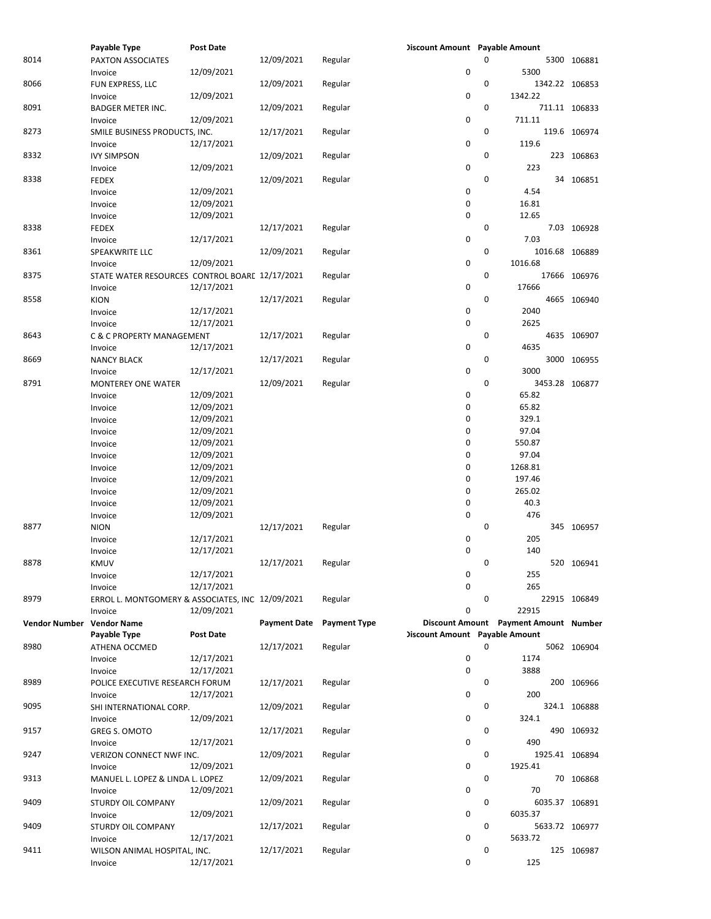|                           | Payable Type                                     | <b>Post Date</b> |                     |                     | <b>Discount Amount Payable Amount</b> |             |                                       |                |
|---------------------------|--------------------------------------------------|------------------|---------------------|---------------------|---------------------------------------|-------------|---------------------------------------|----------------|
| 8014                      | PAXTON ASSOCIATES                                |                  | 12/09/2021          | Regular             |                                       | $\Omega$    |                                       | 5300 106881    |
|                           | Invoice                                          | 12/09/2021       |                     |                     | 0                                     |             | 5300                                  |                |
| 8066                      | FUN EXPRESS, LLC                                 |                  | 12/09/2021          | Regular             |                                       | 0           |                                       | 1342.22 106853 |
|                           |                                                  |                  |                     |                     |                                       |             |                                       |                |
|                           | Invoice                                          | 12/09/2021       |                     |                     | 0                                     |             | 1342.22                               |                |
| 8091                      | <b>BADGER METER INC.</b>                         |                  | 12/09/2021          | Regular             |                                       | $\mathbf 0$ |                                       | 711.11 106833  |
|                           | Invoice                                          | 12/09/2021       |                     |                     | 0                                     |             | 711.11                                |                |
| 8273                      | SMILE BUSINESS PRODUCTS, INC.                    |                  | 12/17/2021          | Regular             |                                       | 0           |                                       | 119.6 106974   |
|                           | Invoice                                          | 12/17/2021       |                     |                     | 0                                     |             | 119.6                                 |                |
| 8332                      | <b>IVY SIMPSON</b>                               |                  | 12/09/2021          | Regular             |                                       | $\mathbf 0$ |                                       | 223 106863     |
|                           |                                                  |                  |                     |                     | 0                                     |             | 223                                   |                |
|                           | Invoice                                          | 12/09/2021       |                     |                     |                                       |             |                                       |                |
| 8338                      | <b>FEDEX</b>                                     |                  | 12/09/2021          | Regular             |                                       | 0           |                                       | 34 106851      |
|                           | Invoice                                          | 12/09/2021       |                     |                     | 0                                     |             | 4.54                                  |                |
|                           | Invoice                                          | 12/09/2021       |                     |                     | 0                                     |             | 16.81                                 |                |
|                           | Invoice                                          | 12/09/2021       |                     |                     | 0                                     |             | 12.65                                 |                |
| 8338                      | <b>FEDEX</b>                                     |                  | 12/17/2021          | Regular             |                                       | $\mathbf 0$ |                                       | 7.03 106928    |
|                           |                                                  |                  |                     |                     |                                       |             |                                       |                |
|                           | Invoice                                          | 12/17/2021       |                     |                     | 0                                     |             | 7.03                                  |                |
| 8361                      | SPEAKWRITE LLC                                   |                  | 12/09/2021          | Regular             |                                       | 0           |                                       | 1016.68 106889 |
|                           | Invoice                                          | 12/09/2021       |                     |                     | 0                                     |             | 1016.68                               |                |
| 8375                      | STATE WATER RESOURCES CONTROL BOARE 12/17/2021   |                  |                     | Regular             |                                       | $\mathbf 0$ |                                       | 17666 106976   |
|                           | Invoice                                          | 12/17/2021       |                     |                     | 0                                     |             | 17666                                 |                |
| 8558                      | KION                                             |                  | 12/17/2021          | Regular             |                                       | 0           |                                       | 4665 106940    |
|                           |                                                  |                  |                     |                     |                                       |             |                                       |                |
|                           | Invoice                                          | 12/17/2021       |                     |                     | 0                                     |             | 2040                                  |                |
|                           | Invoice                                          | 12/17/2021       |                     |                     | 0                                     |             | 2625                                  |                |
| 8643                      | <b>C &amp; C PROPERTY MANAGEMENT</b>             |                  | 12/17/2021          | Regular             |                                       | 0           |                                       | 4635 106907    |
|                           | Invoice                                          | 12/17/2021       |                     |                     | 0                                     |             | 4635                                  |                |
| 8669                      | <b>NANCY BLACK</b>                               |                  | 12/17/2021          | Regular             |                                       | 0           |                                       | 3000 106955    |
|                           |                                                  |                  |                     |                     | 0                                     |             | 3000                                  |                |
|                           | Invoice                                          | 12/17/2021       |                     |                     |                                       |             |                                       |                |
| 8791                      | <b>MONTEREY ONE WATER</b>                        |                  | 12/09/2021          | Regular             |                                       | 0           |                                       | 3453.28 106877 |
|                           | Invoice                                          | 12/09/2021       |                     |                     | 0                                     |             | 65.82                                 |                |
|                           | Invoice                                          | 12/09/2021       |                     |                     | 0                                     |             | 65.82                                 |                |
|                           | Invoice                                          | 12/09/2021       |                     |                     | 0                                     |             | 329.1                                 |                |
|                           | Invoice                                          | 12/09/2021       |                     |                     | 0                                     |             | 97.04                                 |                |
|                           |                                                  |                  |                     |                     |                                       |             |                                       |                |
|                           | Invoice                                          | 12/09/2021       |                     |                     | 0                                     |             | 550.87                                |                |
|                           | Invoice                                          | 12/09/2021       |                     |                     | 0                                     |             | 97.04                                 |                |
|                           | Invoice                                          | 12/09/2021       |                     |                     | 0                                     |             | 1268.81                               |                |
|                           | Invoice                                          | 12/09/2021       |                     |                     | 0                                     |             | 197.46                                |                |
|                           | Invoice                                          | 12/09/2021       |                     |                     | 0                                     |             | 265.02                                |                |
|                           |                                                  |                  |                     |                     |                                       |             | 40.3                                  |                |
|                           | Invoice                                          | 12/09/2021       |                     |                     | 0                                     |             |                                       |                |
|                           | Invoice                                          | 12/09/2021       |                     |                     | 0                                     |             | 476                                   |                |
| 8877                      | <b>NION</b>                                      |                  | 12/17/2021          | Regular             |                                       | $\mathbf 0$ |                                       | 345 106957     |
|                           | Invoice                                          | 12/17/2021       |                     |                     | 0                                     |             | 205                                   |                |
|                           | Invoice                                          | 12/17/2021       |                     |                     | 0                                     |             | 140                                   |                |
| 8878                      | KMUV                                             |                  | 12/17/2021          | Regular             |                                       | $\Omega$    |                                       | 520 106941     |
|                           |                                                  |                  |                     |                     |                                       |             |                                       |                |
|                           | Invoice                                          | 12/17/2021       |                     |                     | 0                                     |             | 255                                   |                |
|                           | Invoice                                          | 12/17/2021       |                     |                     | 0                                     |             | 265                                   |                |
| 8979                      | ERROL L. MONTGOMERY & ASSOCIATES, INC 12/09/2021 |                  |                     | Regular             |                                       | $\mathbf 0$ |                                       | 22915 106849   |
|                           | Invoice                                          | 12/09/2021       |                     |                     | 0                                     |             | 22915                                 |                |
| Vendor Number Vendor Name |                                                  |                  | <b>Payment Date</b> | <b>Payment Type</b> |                                       |             | Discount Amount Payment Amount Number |                |
|                           | Payable Type                                     | <b>Post Date</b> |                     |                     | <b>Discount Amount</b> Payable Amount |             |                                       |                |
|                           |                                                  |                  |                     |                     |                                       |             |                                       |                |
| 8980                      | ATHENA OCCMED                                    |                  | 12/17/2021          | Regular             |                                       | 0           |                                       | 5062 106904    |
|                           | Invoice                                          | 12/17/2021       |                     |                     | 0                                     |             | 1174                                  |                |
|                           | Invoice                                          | 12/17/2021       |                     |                     | 0                                     |             | 3888                                  |                |
| 8989                      | POLICE EXECUTIVE RESEARCH FORUM                  |                  | 12/17/2021          | Regular             |                                       | 0           |                                       | 200 106966     |
|                           | Invoice                                          | 12/17/2021       |                     |                     | 0                                     |             | 200                                   |                |
|                           |                                                  |                  |                     |                     |                                       | 0           |                                       |                |
| 9095                      | SHI INTERNATIONAL CORP.                          |                  | 12/09/2021          | Regular             |                                       |             |                                       | 324.1 106888   |
|                           | Invoice                                          | 12/09/2021       |                     |                     | 0                                     |             | 324.1                                 |                |
| 9157                      | GREG S. OMOTO                                    |                  | 12/17/2021          | Regular             |                                       | 0           |                                       | 490 106932     |
|                           | Invoice                                          | 12/17/2021       |                     |                     | 0                                     |             | 490                                   |                |
| 9247                      | VERIZON CONNECT NWF INC.                         |                  | 12/09/2021          | Regular             |                                       | 0           |                                       | 1925.41 106894 |
|                           |                                                  | 12/09/2021       |                     |                     | 0                                     |             | 1925.41                               |                |
|                           | Invoice                                          |                  |                     |                     |                                       |             |                                       |                |
| 9313                      | MANUEL L. LOPEZ & LINDA L. LOPEZ                 |                  | 12/09/2021          | Regular             |                                       | 0           |                                       | 70 106868      |
|                           | Invoice                                          | 12/09/2021       |                     |                     | 0                                     |             | 70                                    |                |
| 9409                      | STURDY OIL COMPANY                               |                  | 12/09/2021          | Regular             |                                       | 0           |                                       | 6035.37 106891 |
|                           | Invoice                                          | 12/09/2021       |                     |                     | 0                                     |             | 6035.37                               |                |
| 9409                      | STURDY OIL COMPANY                               |                  | 12/17/2021          | Regular             |                                       | 0           |                                       | 5633.72 106977 |
|                           | Invoice                                          | 12/17/2021       |                     |                     | 0                                     |             | 5633.72                               |                |
| 9411                      |                                                  |                  | 12/17/2021          |                     |                                       | 0           |                                       | 125 106987     |
|                           |                                                  |                  |                     |                     |                                       |             |                                       |                |
|                           | WILSON ANIMAL HOSPITAL, INC.<br>Invoice          | 12/17/2021       |                     | Regular             | 0                                     |             | 125                                   |                |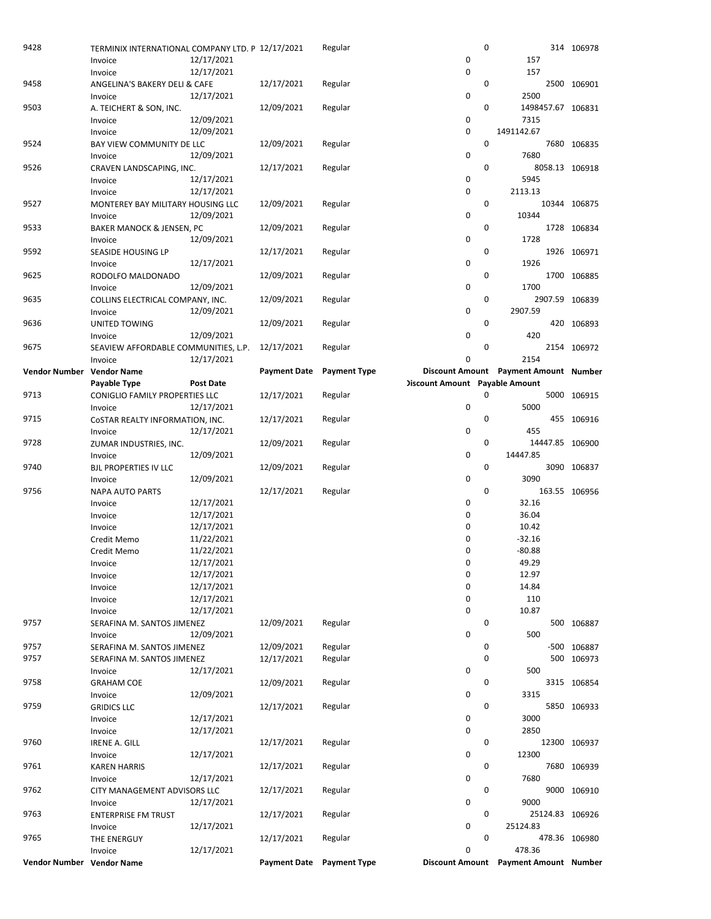| 9428                      | TERMINIX INTERNATIONAL COMPANY LTD. P 12/17/2021 |            |                     | Regular             | $\mathbf 0$                           |                                       | 314 106978    |
|---------------------------|--------------------------------------------------|------------|---------------------|---------------------|---------------------------------------|---------------------------------------|---------------|
|                           | Invoice                                          | 12/17/2021 |                     |                     | 0                                     | 157                                   |               |
|                           | Invoice                                          | 12/17/2021 |                     |                     | 0                                     | 157                                   |               |
| 9458                      | ANGELINA'S BAKERY DELI & CAFE                    |            | 12/17/2021          | Regular             | $\mathbf 0$                           |                                       | 2500 106901   |
|                           | Invoice                                          | 12/17/2021 |                     |                     | 0                                     | 2500                                  |               |
| 9503                      | A. TEICHERT & SON, INC.                          |            | 12/09/2021          | Regular             | 0                                     | 1498457.67 106831                     |               |
|                           | Invoice                                          | 12/09/2021 |                     |                     | 0                                     | 7315                                  |               |
|                           | Invoice                                          | 12/09/2021 |                     |                     | 0                                     | 1491142.67                            |               |
| 9524                      | BAY VIEW COMMUNITY DE LLC                        |            | 12/09/2021          | Regular             | $\mathbf 0$                           |                                       | 7680 106835   |
|                           | Invoice                                          | 12/09/2021 |                     |                     | 0                                     | 7680                                  |               |
| 9526                      | CRAVEN LANDSCAPING, INC.                         |            | 12/17/2021          | Regular             | 0                                     | 8058.13 106918                        |               |
|                           | Invoice                                          | 12/17/2021 |                     |                     | 0                                     | 5945                                  |               |
|                           | Invoice                                          | 12/17/2021 |                     |                     | 0                                     | 2113.13                               |               |
| 9527                      | MONTEREY BAY MILITARY HOUSING LLC                |            | 12/09/2021          | Regular             | $\mathbf 0$                           |                                       | 10344 106875  |
|                           | Invoice                                          | 12/09/2021 |                     |                     | 0                                     | 10344                                 |               |
| 9533                      | <b>BAKER MANOCK &amp; JENSEN, PC</b>             |            | 12/09/2021          | Regular             | $\mathbf 0$                           |                                       | 1728 106834   |
|                           | Invoice                                          | 12/09/2021 |                     |                     | 0                                     | 1728                                  |               |
| 9592                      | SEASIDE HOUSING LP                               |            | 12/17/2021          | Regular             | 0                                     |                                       | 1926 106971   |
|                           | Invoice                                          | 12/17/2021 |                     |                     | 0                                     | 1926                                  |               |
| 9625                      | RODOLFO MALDONADO                                |            | 12/09/2021          | Regular             | $\mathbf 0$                           |                                       | 1700 106885   |
|                           | Invoice                                          | 12/09/2021 |                     |                     | 0                                     | 1700                                  |               |
| 9635                      | COLLINS ELECTRICAL COMPANY, INC.                 |            | 12/09/2021          | Regular             | $\mathbf 0$                           | 2907.59 106839                        |               |
|                           | Invoice                                          | 12/09/2021 |                     |                     | 0                                     | 2907.59                               |               |
| 9636                      | UNITED TOWING                                    |            | 12/09/2021          | Regular             | $\mathbf 0$                           |                                       | 420 106893    |
|                           | Invoice                                          | 12/09/2021 |                     |                     | 0                                     | 420                                   |               |
| 9675                      | SEAVIEW AFFORDABLE COMMUNITIES, L.P.             |            | 12/17/2021          | Regular             | 0                                     |                                       | 2154 106972   |
|                           | Invoice                                          | 12/17/2021 |                     |                     | 0                                     | 2154                                  |               |
| Vendor Number Vendor Name |                                                  |            | <b>Payment Date</b> | <b>Payment Type</b> |                                       | Discount Amount Payment Amount Number |               |
|                           | Payable Type                                     | Post Date  |                     |                     | <b>Discount Amount</b> Payable Amount |                                       |               |
| 9713                      | CONIGLIO FAMILY PROPERTIES LLC                   |            | 12/17/2021          | Regular             | 0                                     |                                       | 5000 106915   |
|                           | Invoice                                          | 12/17/2021 |                     |                     | 0                                     | 5000                                  |               |
| 9715                      | COSTAR REALTY INFORMATION, INC.                  |            | 12/17/2021          | Regular             | $\mathbf 0$                           |                                       | 455 106916    |
|                           | Invoice                                          | 12/17/2021 |                     |                     | 0                                     | 455                                   |               |
| 9728                      | ZUMAR INDUSTRIES, INC.                           |            | 12/09/2021          | Regular             | $\mathbf 0$                           | 14447.85 106900                       |               |
|                           | Invoice                                          | 12/09/2021 |                     |                     | 0                                     | 14447.85                              |               |
| 9740                      | <b>BJL PROPERTIES IV LLC</b>                     |            | 12/09/2021          | Regular             | $\mathbf 0$                           |                                       | 3090 106837   |
|                           | Invoice                                          | 12/09/2021 |                     |                     | 0                                     | 3090                                  |               |
| 9756                      | <b>NAPA AUTO PARTS</b>                           |            | 12/17/2021          | Regular             | $\mathbf 0$                           |                                       | 163.55 106956 |
|                           | Invoice                                          | 12/17/2021 |                     |                     | 0                                     | 32.16                                 |               |
|                           | Invoice                                          | 12/17/2021 |                     |                     | 0                                     | 36.04                                 |               |
|                           | Invoice                                          | 12/17/2021 |                     |                     | 0                                     | 10.42                                 |               |
|                           | Credit Memo                                      | 11/22/2021 |                     |                     | 0                                     | $-32.16$                              |               |
|                           | Credit Memo                                      | 11/22/2021 |                     |                     | 0                                     | $-80.88$                              |               |
|                           | Invoice                                          | 12/17/2021 |                     |                     | 0                                     | 49.29                                 |               |
|                           | Invoice                                          | 12/17/2021 |                     |                     | 0                                     | 12.97                                 |               |
|                           | Invoice                                          | 12/17/2021 |                     |                     | 0                                     | 14.84                                 |               |
|                           | Invoice                                          | 12/17/2021 |                     |                     | 0                                     | 110                                   |               |
|                           | Invoice                                          | 12/17/2021 |                     |                     | 0                                     | 10.87                                 |               |
| 9757                      | SERAFINA M. SANTOS JIMENEZ                       |            | 12/09/2021          | Regular             | 0                                     |                                       | 500 106887    |
|                           | Invoice                                          | 12/09/2021 |                     |                     | 0                                     | 500                                   |               |
| 9757                      | SERAFINA M. SANTOS JIMENEZ                       |            | 12/09/2021          | Regular             | 0                                     |                                       | -500 106887   |
| 9757                      | SERAFINA M. SANTOS JIMENEZ                       |            | 12/17/2021          | Regular             | $\mathbf 0$                           |                                       | 500 106973    |
|                           | Invoice                                          | 12/17/2021 |                     |                     | 0                                     | 500                                   |               |
| 9758                      | <b>GRAHAM COE</b>                                |            | 12/09/2021          | Regular             | 0                                     |                                       | 3315 106854   |
|                           | Invoice                                          | 12/09/2021 |                     |                     | 0                                     | 3315                                  |               |
| 9759                      | <b>GRIDICS LLC</b>                               |            | 12/17/2021          | Regular             | $\mathbf 0$                           |                                       | 5850 106933   |
|                           | Invoice                                          | 12/17/2021 |                     |                     | 0                                     | 3000                                  |               |
|                           | Invoice                                          | 12/17/2021 |                     |                     | 0                                     | 2850                                  |               |
| 9760                      | <b>IRENE A. GILL</b>                             |            | 12/17/2021          | Regular             | 0                                     |                                       | 12300 106937  |
|                           | Invoice                                          | 12/17/2021 |                     |                     | 0                                     | 12300                                 |               |
| 9761                      | <b>KAREN HARRIS</b>                              |            | 12/17/2021          | Regular             | 0                                     |                                       | 7680 106939   |
|                           | Invoice                                          | 12/17/2021 |                     |                     | 0                                     | 7680                                  |               |
| 9762                      | CITY MANAGEMENT ADVISORS LLC                     |            | 12/17/2021          | Regular             | $\mathbf 0$                           |                                       | 9000 106910   |
|                           | Invoice                                          | 12/17/2021 |                     |                     | 0                                     | 9000                                  |               |
| 9763                      | <b>ENTERPRISE FM TRUST</b>                       |            | 12/17/2021          | Regular             | 0                                     | 25124.83 106926                       |               |
|                           | Invoice                                          | 12/17/2021 |                     |                     | 0                                     | 25124.83                              |               |
| 9765                      | THE ENERGUY                                      |            | 12/17/2021          | Regular             | 0                                     |                                       | 478.36 106980 |
|                           | Invoice                                          | 12/17/2021 |                     |                     | 0                                     | 478.36                                |               |
| Vendor Number Vendor Name |                                                  |            | <b>Payment Date</b> | <b>Payment Type</b> | <b>Discount Amount</b>                | Payment Amount Number                 |               |
|                           |                                                  |            |                     |                     |                                       |                                       |               |